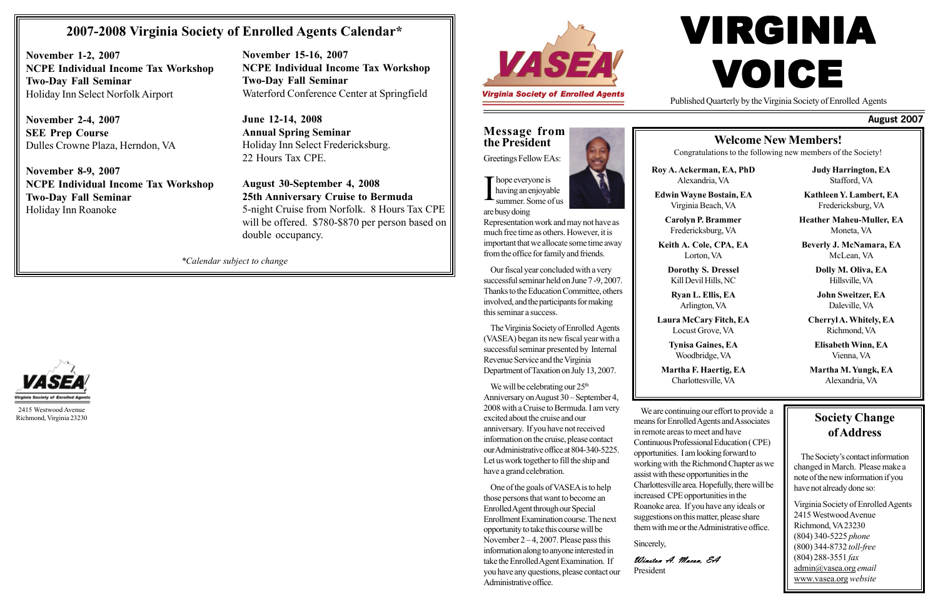# VIRGINIA VOICE

**Message from the President**

Greetings Fellow EAs:

I hope everyone is<br>having an enjoyal<br>summer. Some of having an enjoyable summer. Some of us are busy doing

Representation work and may not have as much free time as others. However, it is important that we allocate some time away from the office for family and friends.

Our fiscal year concluded with a very successful seminar held on June 7 -9, 2007. Thanks to the Education Committee, others involved, and the participants for making this seminar a success.

We will be celebrating our  $25<sup>th</sup>$ Anniversary on August 30 – September 4, 2008 with a Cruise to Bermuda. I am very excited about the cruise and our anniversary. If you have not received information on the cruise, please contact our Administrative office at 804-340-5225. Let us work together to fill the ship and have a grand celebration.

The Virginia Society of Enrolled Agents (VASEA) began its new fiscal year with a successful seminar presented by Internal Revenue Service and the Virginia Department of Taxation on July 13, 2007.

One of the goals of VASEA is to help those persons that want to become an Enrolled Agent through our Special Enrollment Examination course. The next opportunity to take this course will be November  $2-4$ , 2007. Please pass this information along to anyone interested in take the Enrolled Agent Examination. If you have any questions, please contact our Administrative office.

#### **August 2007**

## **Welcome New Members!**

Congratulations to the following new members of the Society!

**Roy A. Ackerman, EA, PhD** Alexandria, VA

**Edwin Wayne Bostain, EA** Virginia Beach, VA

> **Carolyn P. Brammer** Fredericksburg, VA

**Keith A. Cole, CPA, EA** Lorton, VA

**Dorothy S. Dressel** Kill Devil Hills, NC

**Ryan L. Ellis, EA** Arlington, VA

**Laura McCary Fitch, EA** Locust Grove, VA

> **Tynisa Gaines, EA** Woodbridge, VA

**Martha F. Haertig, EA** Charlottesville, VA

**Judy Harrington, EA** Stafford, VA

**Kathleen Y. Lambert, EA** Fredericksburg, VA

**Heather Maheu-Muller, EA** Moneta, VA

**Beverly J. McNamara, EA** McLean, VA

> **Dolly M. Oliva, EA** Hillsville, VA

**John Sweitzer, EA** Daleville, VA

**Cherryl A. Whitely, EA** Richmond, VA

**Elisabeth Winn, EA** Vienna, VA

**Martha M. Yungk, EA** Alexandria, VA

Published Quarterly by the Virginia Society of Enrolled Agents

We are continuing our effort to provide a means for Enrolled Agents and Associates in remote areas to meet and have Continuous Professional Education ( CPE) opportunities. I am looking forward to working with the Richmond Chapter as we assist with these opportunities in the Charlottesville area. Hopefully, there will be increased CPE opportunities in the Roanoke area. If you have any ideals or suggestions on this matter, please share them with me or the Administrative office.

Sincerely,

Winston A. Macon, EA President



#### **Society Change of Address**

The Society's contact information changed in March. Please make a note of the new information if you have not already done so:

Virginia Society of Enrolled Agents 2415 Westwood Avenue Richmond, VA 23230 (804) 340-5225 *phone* (800) 344-8732 *toll-free* (804) 288-3551 *fax* admin@vasea.org *email* www.vasea.org *website*

*\*Calendar subject to change*



2415 Westwood Avenue Richmond, Virginia 23230

## **2007-2008 Virginia Society of Enrolled Agents Calendar\***

**November 1-2, 2007 NCPE Individual Income Tax Workshop Two-Day Fall Seminar** Holiday Inn Select Norfolk Airport

**November 2-4, 2007 SEE Prep Course** Dulles Crowne Plaza, Herndon, VA

**November 8-9, 2007 NCPE Individual Income Tax Workshop Two-Day Fall Seminar** Holiday Inn Roanoke

**November 15-16, 2007 NCPE Individual Income Tax Workshop Two-Day Fall Seminar** Waterford Conference Center at Springfield

**June 12-14, 2008 Annual Spring Seminar** Holiday Inn Select Fredericksburg. 22 Hours Tax CPE.

**August 30-September 4, 2008 25th Anniversary Cruise to Bermuda** 5-night Cruise from Norfolk. 8 Hours Tax CPE will be offered. \$780-\$870 per person based on double occupancy.